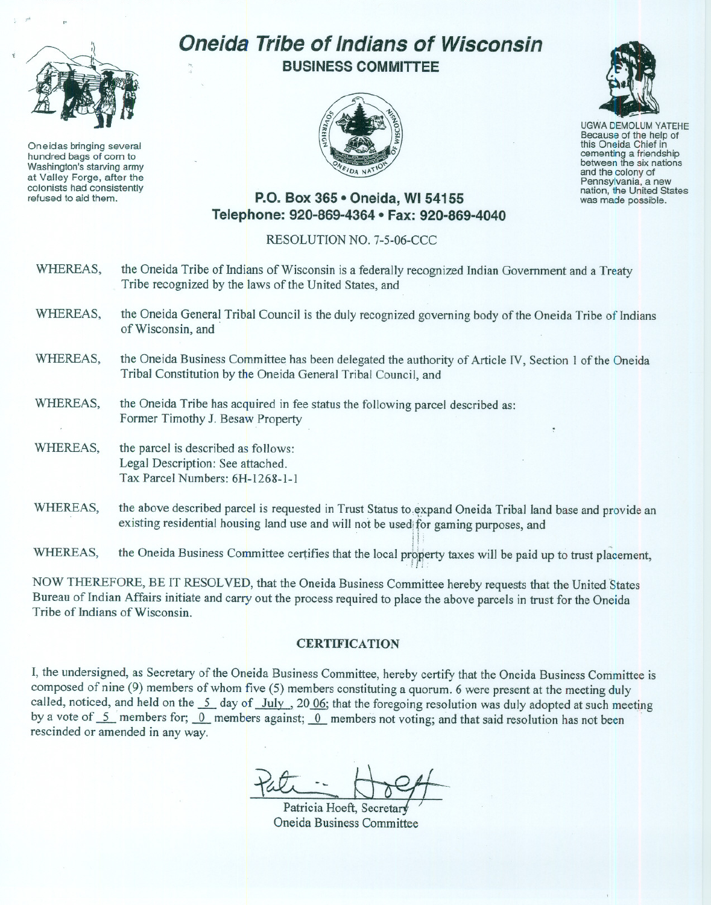

Oneidas bringing several hundred bags of corn to Washington's starving army at Valley Forge, after the colonists had consistently refused to aid them.

# **Oneida Tribe of Indians of Wisconsin BUSINESS COMMITTEE**





UGWA DEMOLUM YATEHE Because of the help of this Oneida Chief in between the six nations and the colony of<br>Pennsylvania, a new nation, the United States was made possible.

## **P.O. Box 365· Oneida, WI 54155 Telephone: 920-869-4364 • Fax: 920-869-4040**

#### RESOLUTION NO. 7-5-06-CCC

- WHEREAS, the Oneida Tribe of Indians of Wisconsin is a federally recognized Indian Government and a Treaty Tribe recognized by the laws of the United States, and
- WHEREAS, the Oneida General Tribal Council is the duly recognized governing body of the Oneida Tribe of Indians of Wisconsin, and
- WHEREAS, the Oneida Business Committee has been delegated the authority of Article IV, Section 1 of the Oneida Tribal Constitution by the Oneida General Tribal Council, and
- WHEREAS, the Oneida Tribe has acquired in fee status the following parcel described as: Former Timothy J. Besaw Property
- WHEREAS, the parcel is described as follows: Legal Description: See attached. Tax Parcel Numbers: 6H-1268-1-1
- WHEREAS, the above described parcel is requested in Trust Status to expand Oneida Tribal land base and provide an existing residential housing land use and will not be used for gaming purposes, and<br>the Oneida Business Committee certifies that the local property taxes will be paid up to trust placement,

WHEREAS, Whereas, the Oneida Business Committee certifies that the local properties  $\mathcal{H}_{\text{H}}$  is the paid up to trust planet, will be paid up to trust planet, will be paid up to trust planet, will be paid up to trust planet, w

NOW THEREFORE, BE IT RESOLVED, that the Oneida Business Committee hereby requests that the United States Bureau of Indian Affairs initiate and carry out the process required to place the above parcels in trust for the Oneida Tribe of Indians of Wisconsin.

#### **CERTIFICATION**

I, the undersigned, as Secretary of the Oneida Business Committee, hereby certify that the Oneida Business Committee is composed of nine (9) members of whom five (5) members constituting a quorum. 6 were present at the meeting duly called, noticed, and held on the  $\frac{5}{2}$  day of July , 20.06; that the foregoing resolution was duly adopted at such meeting by a vote of  $\overline{5}$  members for;  $\overline{0}$  members against;  $\overline{0}$  members not voting; and that said resolution has not been rescinded or amended in any way.

Patricia Hoeft, Secreta Oneida Business Committee